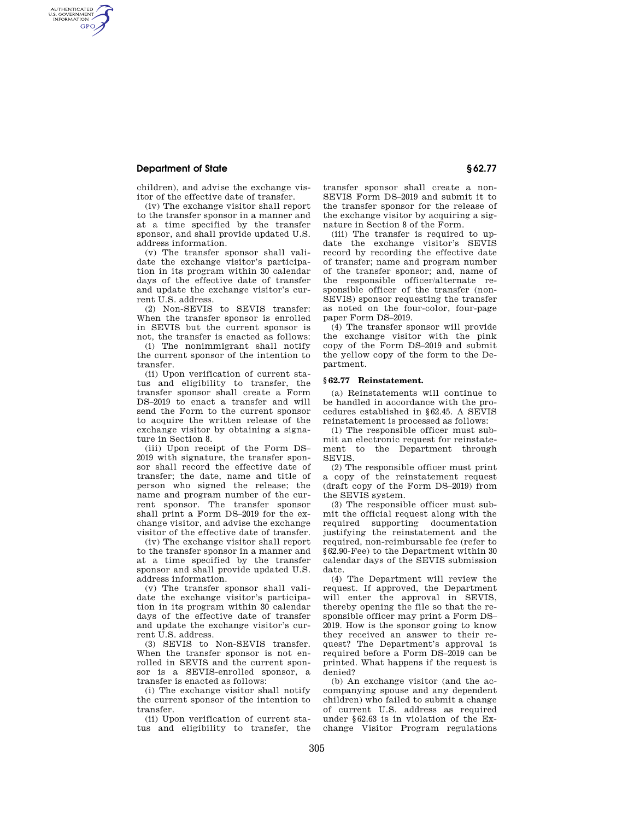## **Department of State § 62.77**

AUTHENTICATED<br>U.S. GOVERNMENT<br>INFORMATION **GPO** 

> children), and advise the exchange visitor of the effective date of transfer.

> (iv) The exchange visitor shall report to the transfer sponsor in a manner and at a time specified by the transfer sponsor, and shall provide updated U.S. address information.

> (v) The transfer sponsor shall validate the exchange visitor's participation in its program within 30 calendar days of the effective date of transfer and update the exchange visitor's current U.S. address.

> (2) Non-SEVIS to SEVIS transfer: When the transfer sponsor is enrolled in SEVIS but the current sponsor is not, the transfer is enacted as follows:

> (i) The nonimmigrant shall notify the current sponsor of the intention to transfer.

> (ii) Upon verification of current status and eligibility to transfer, the transfer sponsor shall create a Form DS–2019 to enact a transfer and will send the Form to the current sponsor to acquire the written release of the exchange visitor by obtaining a signature in Section 8.

> (iii) Upon receipt of the Form DS– 2019 with signature, the transfer sponsor shall record the effective date of transfer; the date, name and title of person who signed the release; the name and program number of the current sponsor. The transfer sponsor shall print a Form DS–2019 for the exchange visitor, and advise the exchange visitor of the effective date of transfer.

> (iv) The exchange visitor shall report to the transfer sponsor in a manner and at a time specified by the transfer sponsor and shall provide updated U.S. address information.

> (v) The transfer sponsor shall validate the exchange visitor's participation in its program within 30 calendar days of the effective date of transfer and update the exchange visitor's current U.S. address.

> (3) SEVIS to Non-SEVIS transfer. When the transfer sponsor is not enrolled in SEVIS and the current sponsor is a SEVIS-enrolled sponsor, a transfer is enacted as follows:

> (i) The exchange visitor shall notify the current sponsor of the intention to transfer.

> (ii) Upon verification of current status and eligibility to transfer, the

transfer sponsor shall create a non-SEVIS Form DS–2019 and submit it to the transfer sponsor for the release of the exchange visitor by acquiring a signature in Section 8 of the Form.

(iii) The transfer is required to update the exchange visitor's SEVIS record by recording the effective date of transfer; name and program number of the transfer sponsor; and, name of the responsible officer/alternate responsible officer of the transfer (non-SEVIS) sponsor requesting the transfer as noted on the four-color, four-page paper Form DS–2019.

(4) The transfer sponsor will provide the exchange visitor with the pink copy of the Form DS–2019 and submit the yellow copy of the form to the Department.

### **§ 62.77 Reinstatement.**

(a) Reinstatements will continue to be handled in accordance with the procedures established in §62.45. A SEVIS reinstatement is processed as follows:

(1) The responsible officer must submit an electronic request for reinstatement to the Department through SEVIS.

(2) The responsible officer must print a copy of the reinstatement request (draft copy of the Form DS–2019) from the SEVIS system.

(3) The responsible officer must submit the official request along with the required supporting documentation justifying the reinstatement and the required, non-reimbursable fee (refer to §62.90-Fee) to the Department within 30 calendar days of the SEVIS submission date.

(4) The Department will review the request. If approved, the Department will enter the approval in SEVIS, thereby opening the file so that the responsible officer may print a Form DS– 2019. How is the sponsor going to know they received an answer to their request? The Department's approval is required before a Form DS–2019 can be printed. What happens if the request is denied?

(b) An exchange visitor (and the accompanying spouse and any dependent children) who failed to submit a change of current U.S. address as required under §62.63 is in violation of the Exchange Visitor Program regulations